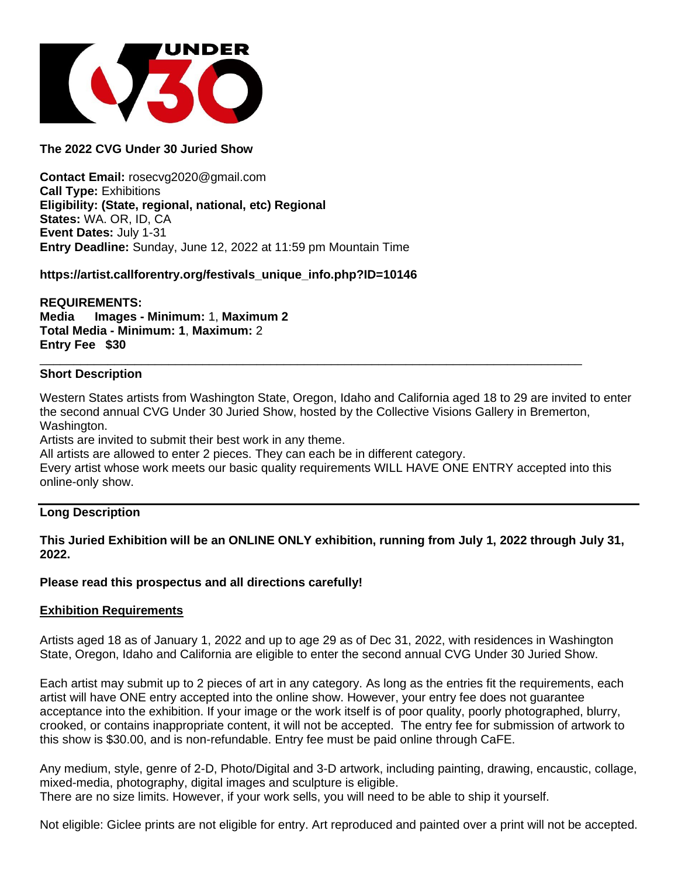

# **The 2022 CVG Under 30 Juried Show**

**Contact Email:** rosecvg2020@gmail.com **Call Type:** Exhibitions **Eligibility: (State, regional, national, etc) Regional States:** WA. OR, ID, CA **Event Dates:** July 1-31 **Entry Deadline:** Sunday, June 12, 2022 at 11:59 pm Mountain Time

## **https://artist.callforentry.org/festivals\_unique\_info.php?ID=10146**

**REQUIREMENTS: Media Images - Minimum:** 1, **Maximum 2 Total Media - Minimum: 1**, **Maximum:** 2 **Entry Fee \$30**

### **Short Description**

Western States artists from Washington State, Oregon, Idaho and California aged 18 to 29 are invited to enter the second annual CVG Under 30 Juried Show, hosted by the Collective Visions Gallery in Bremerton, Washington.

\_\_\_\_\_\_\_\_\_\_\_\_\_\_\_\_\_\_\_\_\_\_\_\_\_\_\_\_\_\_\_\_\_\_\_\_\_\_\_\_\_\_\_\_\_\_\_\_\_\_\_\_\_\_\_\_\_\_\_\_\_\_\_\_\_\_\_\_\_\_\_\_\_\_\_\_\_\_\_\_

Artists are invited to submit their best work in any theme.

All artists are allowed to enter 2 pieces. They can each be in different category.

Every artist whose work meets our basic quality requirements WILL HAVE ONE ENTRY accepted into this online-only show.

### **Long Description**

## **This Juried Exhibition will be an ONLINE ONLY exhibition, running from July 1, 2022 through July 31, 2022.**

#### **Please read this prospectus and all directions carefully!**

#### **Exhibition Requirements**

Artists aged 18 as of January 1, 2022 and up to age 29 as of Dec 31, 2022, with residences in Washington State, Oregon, Idaho and California are eligible to enter the second annual CVG Under 30 Juried Show.

Each artist may submit up to 2 pieces of art in any category. As long as the entries fit the requirements, each artist will have ONE entry accepted into the online show. However, your entry fee does not guarantee acceptance into the exhibition. If your image or the work itself is of poor quality, poorly photographed, blurry, crooked, or contains inappropriate content, it will not be accepted. The entry fee for submission of artwork to this show is \$30.00, and is non-refundable. Entry fee must be paid online through CaFE.

Any medium, style, genre of 2-D, Photo/Digital and 3-D artwork, including painting, drawing, encaustic, collage, mixed-media, photography, digital images and sculpture is eligible.

There are no size limits. However, if your work sells, you will need to be able to ship it yourself.

Not eligible: Giclee prints are not eligible for entry. Art reproduced and painted over a print will not be accepted.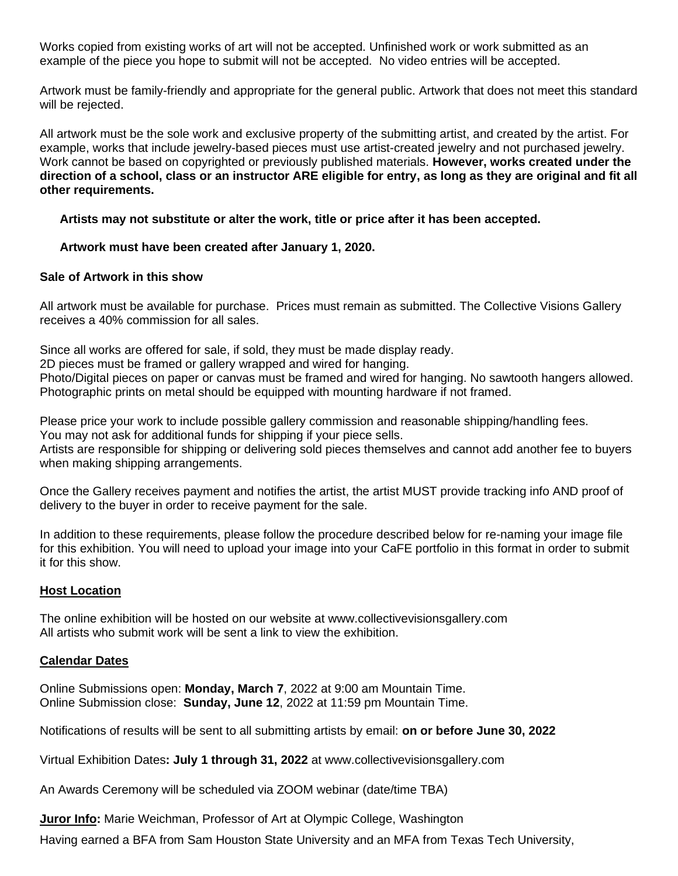Works copied from existing works of art will not be accepted. Unfinished work or work submitted as an example of the piece you hope to submit will not be accepted. No video entries will be accepted.

Artwork must be family-friendly and appropriate for the general public. Artwork that does not meet this standard will be rejected.

All artwork must be the sole work and exclusive property of the submitting artist, and created by the artist. For example, works that include jewelry-based pieces must use artist-created jewelry and not purchased jewelry. Work cannot be based on copyrighted or previously published materials. **However, works created under the direction of a school, class or an instructor ARE eligible for entry, as long as they are original and fit all other requirements.** 

### **Artists may not substitute or alter the work, title or price after it has been accepted.**

### **Artwork must have been created after January 1, 2020.**

### **Sale of Artwork in this show**

All artwork must be available for purchase. Prices must remain as submitted. The Collective Visions Gallery receives a 40% commission for all sales.

Since all works are offered for sale, if sold, they must be made display ready. 2D pieces must be framed or gallery wrapped and wired for hanging. Photo/Digital pieces on paper or canvas must be framed and wired for hanging. No sawtooth hangers allowed. Photographic prints on metal should be equipped with mounting hardware if not framed.

Please price your work to include possible gallery commission and reasonable shipping/handling fees. You may not ask for additional funds for shipping if your piece sells.

Artists are responsible for shipping or delivering sold pieces themselves and cannot add another fee to buyers when making shipping arrangements.

Once the Gallery receives payment and notifies the artist, the artist MUST provide tracking info AND proof of delivery to the buyer in order to receive payment for the sale.

In addition to these requirements, please follow the procedure described below for re-naming your image file for this exhibition. You will need to upload your image into your CaFE portfolio in this format in order to submit it for this show.

## **Host Location**

The online exhibition will be hosted on our website at www.collectivevisionsgallery.com All artists who submit work will be sent a link to view the exhibition.

#### **Calendar Dates**

Online Submissions open: **Monday, March 7**, 2022 at 9:00 am Mountain Time. Online Submission close: **Sunday, June 12**, 2022 at 11:59 pm Mountain Time.

Notifications of results will be sent to all submitting artists by email: **on or before June 30, 2022**

Virtual Exhibition Dates**: July 1 through 31, 2022** at www.collectivevisionsgallery.com

An Awards Ceremony will be scheduled via ZOOM webinar (date/time TBA)

**Juror Info:** Marie Weichman, Professor of Art at Olympic College, Washington

Having earned a BFA from Sam Houston State University and an MFA from Texas Tech University,